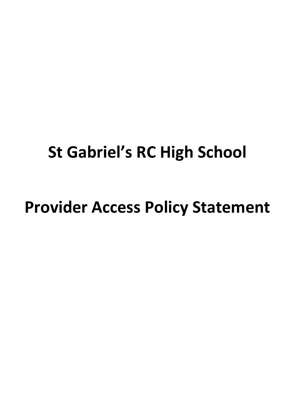# **St Gabriel's RC High School**

# **Provider Access Policy Statement**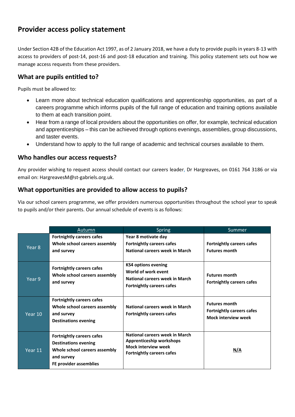## **Provider access policy statement**

Under Section 42B of the Education Act 1997, as of 2 January 2018, we have a duty to provide pupils in years 8-13 with access to providers of post-14, post-16 and post-18 education and training. This policy statement sets out how we manage access requests from these providers.

#### **What are pupils entitled to?**

Pupils must be allowed to:

- Learn more about technical education qualifications and apprenticeship opportunities, as part of a careers programme which informs pupils of the full range of education and training options available to them at each transition point.
- Hear from a range of local providers about the opportunities on offer, for example, technical education and apprenticeships – this can be achieved through options evenings, assemblies, group discussions, and taster events.
- Understand how to apply to the full range of academic and technical courses available to them.

#### **Who handles our access requests?**

Any provider wishing to request access should contact our careers leader, Dr Hargreaves, on 0161 764 3186 or via email on: HargreavesM@st-gabriels.org.uk.

#### **What opportunities are provided to allow access to pupils?**

Via our school careers programme, we offer providers numerous opportunities throughout the school year to speak to pupils and/or their parents. Our annual schedule of events is as follows:

|                   | Autumn                                                                                                                                   | <b>Spring</b>                                                                                                                | Summer                                                                                 |
|-------------------|------------------------------------------------------------------------------------------------------------------------------------------|------------------------------------------------------------------------------------------------------------------------------|----------------------------------------------------------------------------------------|
| Year <sub>8</sub> | <b>Fortnightly careers cafes</b><br>Whole school careers assembly<br>and survey                                                          | Year 8 motivate day<br><b>Fortnightly careers cafes</b><br>National careers week in March                                    | <b>Fortnightly careers cafes</b><br><b>Futures month</b>                               |
| Year 9            | <b>Fortnightly careers cafes</b><br>Whole school careers assembly<br>and survey                                                          | <b>KS4 options evening</b><br>World of work event<br>National careers week in March<br><b>Fortnightly careers cafes</b>      | <b>Futures month</b><br><b>Fortnightly careers cafes</b>                               |
| Year 10           | <b>Fortnightly careers cafes</b><br>Whole school careers assembly<br>and survey<br><b>Destinations evening</b>                           | National careers week in March<br><b>Fortnightly careers cafes</b>                                                           | <b>Futures month</b><br><b>Fortnightly careers cafes</b><br><b>Mock interview week</b> |
| Year 11           | <b>Fortnightly careers cafes</b><br><b>Destinations evening</b><br>Whole school careers assembly<br>and survey<br>FE provider assemblies | National careers week in March<br>Apprenticeship workshops<br><b>Mock interview week</b><br><b>Fortnightly careers cafes</b> | N/A                                                                                    |